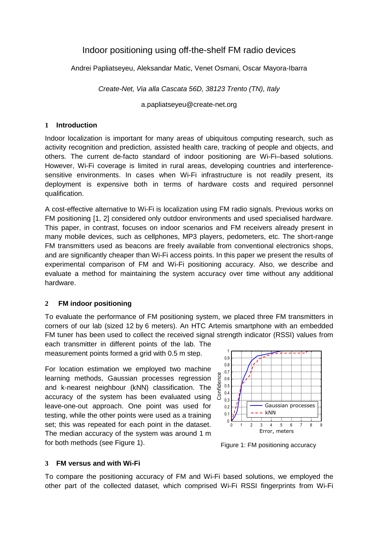# Indoor positioning using off-the-shelf FM radio devices

Andrei Papliatseyeu, Aleksandar Matic, Venet Osmani, Oscar Mayora-Ibarra

Create-Net, Via alla Cascata 56D, 38123 Trento (TN), Italy

a.papliatseyeu@create-net.org

#### **1 Introduction**

Indoor localization is important for many areas of ubiquitous computing research, such as activity recognition and prediction, assisted health care, tracking of people and objects, and others. The current de-facto standard of indoor positioning are Wi-Fi–based solutions. However, Wi-Fi coverage is limited in rural areas, developing countries and interferencesensitive environments. In cases when Wi-Fi infrastructure is not readily present, its deployment is expensive both in terms of hardware costs and required personnel qualification.

A cost-effective alternative to Wi-Fi is localization using FM radio signals. Previous works on FM positioning [1, 2] considered only outdoor environments and used specialised hardware. This paper, in contrast, focuses on indoor scenarios and FM receivers already present in many mobile devices, such as cellphones, MP3 players, pedometers, etc. The short-range FM transmitters used as beacons are freely available from conventional electronics shops, and are significantly cheaper than Wi-Fi access points. In this paper we present the results of experimental comparison of FM and Wi-Fi positioning accuracy. Also, we describe and evaluate a method for maintaining the system accuracy over time without any additional hardware.

## **2 FM indoor positioning**

To evaluate the performance of FM positioning system, we placed three FM transmitters in corners of our lab (sized 12 by 6 meters). An HTC Artemis smartphone with an embedded FM tuner has been used to collect the received signal strength indicator (RSSI) values from

each transmitter in different points of the lab. The measurement points formed a grid with 0.5 m step.

For location estimation we employed two machine learning methods, Gaussian processes regression and k-nearest neighbour (kNN) classification. The accuracy of the system has been evaluated using leave-one-out approach. One point was used for testing, while the other points were used as a training set; this was repeated for each point in the dataset. The median accuracy of the system was around 1 m for both methods (see Figure 1).



Figure 1: FM positioning accuracy

## **3 FM versus and with Wi-Fi**

To compare the positioning accuracy of FM and Wi-Fi based solutions, we employed the other part of the collected dataset, which comprised Wi-Fi RSSI fingerprints from Wi-Fi